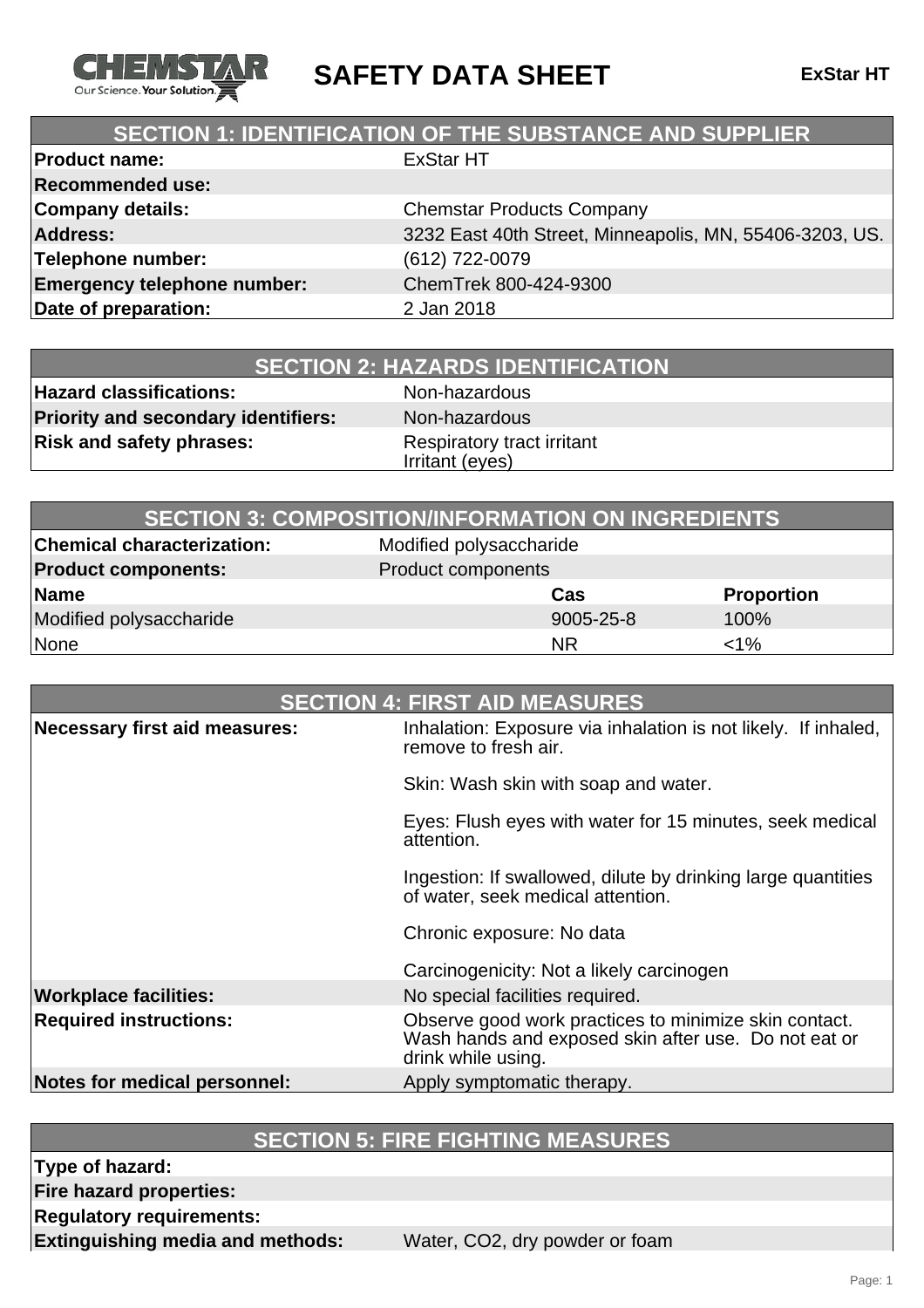

**SAFETY DATA SHEET ExStar HT**

## **SECTION 1: IDENTIFICATION OF THE SUBSTANCE AND SUPPLIER**

| <b>Product name:</b>               | <b>ExStar HT</b>                                        |
|------------------------------------|---------------------------------------------------------|
| <b>Recommended use:</b>            |                                                         |
| <b>Company details:</b>            | <b>Chemstar Products Company</b>                        |
| <b>Address:</b>                    | 3232 East 40th Street, Minneapolis, MN, 55406-3203, US. |
| Telephone number:                  | (612) 722-0079                                          |
| <b>Emergency telephone number:</b> | ChemTrek 800-424-9300                                   |
| Date of preparation:               | 2 Jan 2018                                              |
|                                    |                                                         |

| <b>SECTION 2: HAZARDS IDENTIFICATION</b> |
|------------------------------------------|
|------------------------------------------|

**Hazard classifications:** Non-hazardous **Priority and secondary identifiers:** Non-hazardous **Risk and safety phrases:** Respiratory tract irritant

Irritant (eyes)

|                                   | <b>SECTION 3: COMPOSITION/INFORMATION ON INGREDIENTS</b> |                   |
|-----------------------------------|----------------------------------------------------------|-------------------|
| <b>Chemical characterization:</b> | Modified polysaccharide                                  |                   |
| <b>Product components:</b>        | Product components                                       |                   |
| Name                              | Cas                                                      | <b>Proportion</b> |
| Modified polysaccharide           | 9005-25-8                                                | 100%              |
| None                              | <b>NR</b>                                                | $<$ 1%            |

| <b>SECTION 4: FIRST AID MEASURES</b> |                                                                                                                                     |
|--------------------------------------|-------------------------------------------------------------------------------------------------------------------------------------|
| <b>Necessary first aid measures:</b> | Inhalation: Exposure via inhalation is not likely. If inhaled,<br>remove to fresh air.                                              |
|                                      | Skin: Wash skin with soap and water.                                                                                                |
|                                      | Eyes: Flush eyes with water for 15 minutes, seek medical<br>attention.                                                              |
|                                      | Ingestion: If swallowed, dilute by drinking large quantities<br>of water, seek medical attention.                                   |
|                                      | Chronic exposure: No data                                                                                                           |
|                                      | Carcinogenicity: Not a likely carcinogen                                                                                            |
| <b>Workplace facilities:</b>         | No special facilities required.                                                                                                     |
| <b>Required instructions:</b>        | Observe good work practices to minimize skin contact.<br>Wash hands and exposed skin after use. Do not eat or<br>drink while using. |
| Notes for medical personnel:         | Apply symptomatic therapy.                                                                                                          |

### **SECTION 5: FIRE FIGHTING MEASURES**

**Type of hazard:**

**Fire hazard properties:**

**Regulatory requirements:**

**Extinguishing media and methods:** Water, CO2, dry powder or foam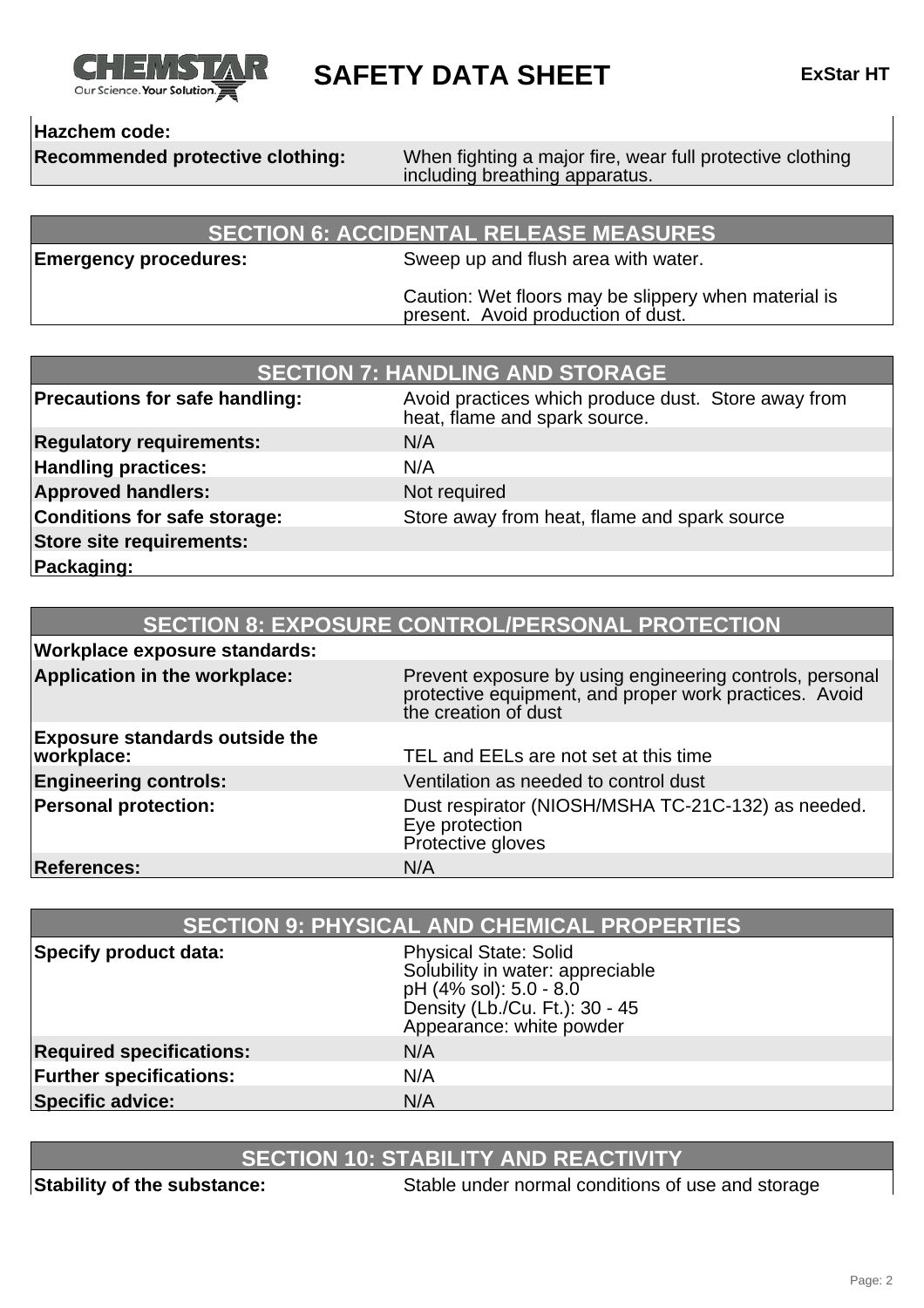

**SAFETY DATA SHEET ExStar HT**

### **Hazchem code:**

**Recommended protective clothing:** When fighting a major fire, wear full protective clothing including breathing apparatus.

### **SECTION 6: ACCIDENTAL RELEASE MEASURES**

**Emergency procedures:** Sweep up and flush area with water.

Caution: Wet floors may be slippery when material is present. Avoid production of dust.

| <b>SECTION 7: HANDLING AND STORAGE</b> |                                                                                      |
|----------------------------------------|--------------------------------------------------------------------------------------|
| <b>Precautions for safe handling:</b>  | Avoid practices which produce dust. Store away from<br>heat, flame and spark source. |
| <b>Regulatory requirements:</b>        | N/A                                                                                  |
| <b>Handling practices:</b>             | N/A                                                                                  |
| <b>Approved handlers:</b>              | Not required                                                                         |
| Conditions for safe storage:           | Store away from heat, flame and spark source                                         |
| Store site requirements:               |                                                                                      |
| Packaging:                             |                                                                                      |

| <b>SECTION 8: EXPOSURE CONTROL/PERSONAL PROTECTION</b> |                                                                                                                                            |
|--------------------------------------------------------|--------------------------------------------------------------------------------------------------------------------------------------------|
| <b>Workplace exposure standards:</b>                   |                                                                                                                                            |
| Application in the workplace:                          | Prevent exposure by using engineering controls, personal<br>protective equipment, and proper work practices. Avoid<br>the creation of dust |
| <b>Exposure standards outside the</b><br>workplace:    | TEL and EELs are not set at this time                                                                                                      |
| <b>Engineering controls:</b>                           | Ventilation as needed to control dust                                                                                                      |
| <b>Personal protection:</b>                            | Dust respirator (NIOSH/MSHA TC-21C-132) as needed.<br>Eye protection<br>Protective gloves                                                  |
| <b>References:</b>                                     | N/A                                                                                                                                        |

| <b>SECTION 9: PHYSICAL AND CHEMICAL PROPERTIES</b> |                                                                                                                                                          |
|----------------------------------------------------|----------------------------------------------------------------------------------------------------------------------------------------------------------|
| Specify product data:                              | <b>Physical State: Solid</b><br>Solubility in water: appreciable<br>pH (4% sol): 5.0 - 8.0<br>Density (Lb./Cu. Ft.): 30 - 45<br>Appearance: white powder |
| <b>Required specifications:</b>                    | N/A                                                                                                                                                      |
| <b>Further specifications:</b>                     | N/A                                                                                                                                                      |
| <b>Specific advice:</b>                            | N/A                                                                                                                                                      |

## **SECTION 10: STABILITY AND REACTIVITY**

**Stability of the substance:** Stable under normal conditions of use and storage